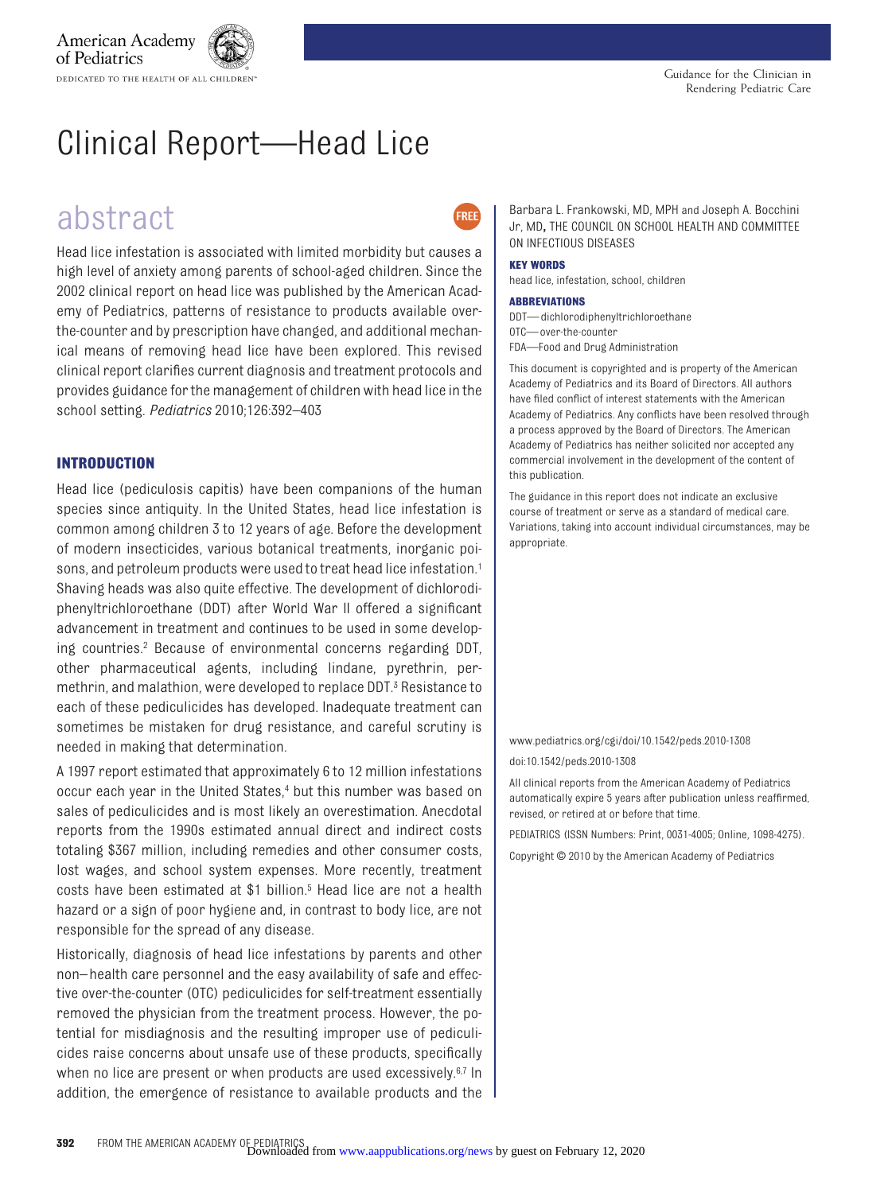

### of Pediatrics DEDICATED TO THE HEALTH OF ALL CHILDREN

## Clinical Report—Head Lice

## abstract

**American Academy** 

Head lice infestation is associated with limited morbidity but causes a high level of anxiety among parents of school-aged children. Since the 2002 clinical report on head lice was published by the American Academy of Pediatrics, patterns of resistance to products available overthe-counter and by prescription have changed, and additional mechanical means of removing head lice have been explored. This revised clinical report clarifies current diagnosis and treatment protocols and provides guidance for the management of children with head lice in the school setting. *Pediatrics* 2010;126:392–403

#### **INTRODUCTION**

Head lice (pediculosis capitis) have been companions of the human species since antiquity. In the United States, head lice infestation is common among children 3 to 12 years of age. Before the development of modern insecticides, various botanical treatments, inorganic poisons, and petroleum products were used to treat head lice infestation.<sup>1</sup> Shaving heads was also quite effective. The development of dichlorodiphenyltrichloroethane (DDT) after World War II offered a significant advancement in treatment and continues to be used in some developing countries.2 Because of environmental concerns regarding DDT, other pharmaceutical agents, including lindane, pyrethrin, permethrin, and malathion, were developed to replace DDT.3 Resistance to each of these pediculicides has developed. Inadequate treatment can sometimes be mistaken for drug resistance, and careful scrutiny is needed in making that determination.

A 1997 report estimated that approximately 6 to 12 million infestations occur each year in the United States,<sup>4</sup> but this number was based on sales of pediculicides and is most likely an overestimation. Anecdotal reports from the 1990s estimated annual direct and indirect costs totaling \$367 million, including remedies and other consumer costs, lost wages, and school system expenses. More recently, treatment costs have been estimated at \$1 billion.5 Head lice are not a health hazard or a sign of poor hygiene and, in contrast to body lice, are not responsible for the spread of any disease.

Historically, diagnosis of head lice infestations by parents and other non–health care personnel and the easy availability of safe and effective over-the-counter (OTC) pediculicides for self-treatment essentially removed the physician from the treatment process. However, the potential for misdiagnosis and the resulting improper use of pediculicides raise concerns about unsafe use of these products, specifically when no lice are present or when products are used excessively.<sup>6,7</sup> In addition, the emergence of resistance to available products and the Barbara L. Frankowski, MD, MPH and Joseph A. Bocchini Jr, MD**,** THE COUNCIL ON SCHOOL HEALTH AND COMMITTEE ON INFECTIOUS DISEASES

#### **KEY WORDS**

FREE

head lice, infestation, school, children

#### **ABBREVIATIONS**

DDT—dichlorodiphenyltrichloroethane

OTC— over-the-counter

FDA—Food and Drug Administration

This document is copyrighted and is property of the American Academy of Pediatrics and its Board of Directors. All authors have filed conflict of interest statements with the American Academy of Pediatrics. Any conflicts have been resolved through a process approved by the Board of Directors. The American Academy of Pediatrics has neither solicited nor accepted any commercial involvement in the development of the content of this publication.

The guidance in this report does not indicate an exclusive course of treatment or serve as a standard of medical care. Variations, taking into account individual circumstances, may be appropriate.

www.pediatrics.org/cgi/doi/10.1542/peds.2010-1308

doi:10.1542/peds.2010-1308

All clinical reports from the American Academy of Pediatrics automatically expire 5 years after publication unless reaffirmed, revised, or retired at or before that time.

PEDIATRICS (ISSN Numbers: Print, 0031-4005; Online, 1098-4275).

Copyright © 2010 by the American Academy of Pediatrics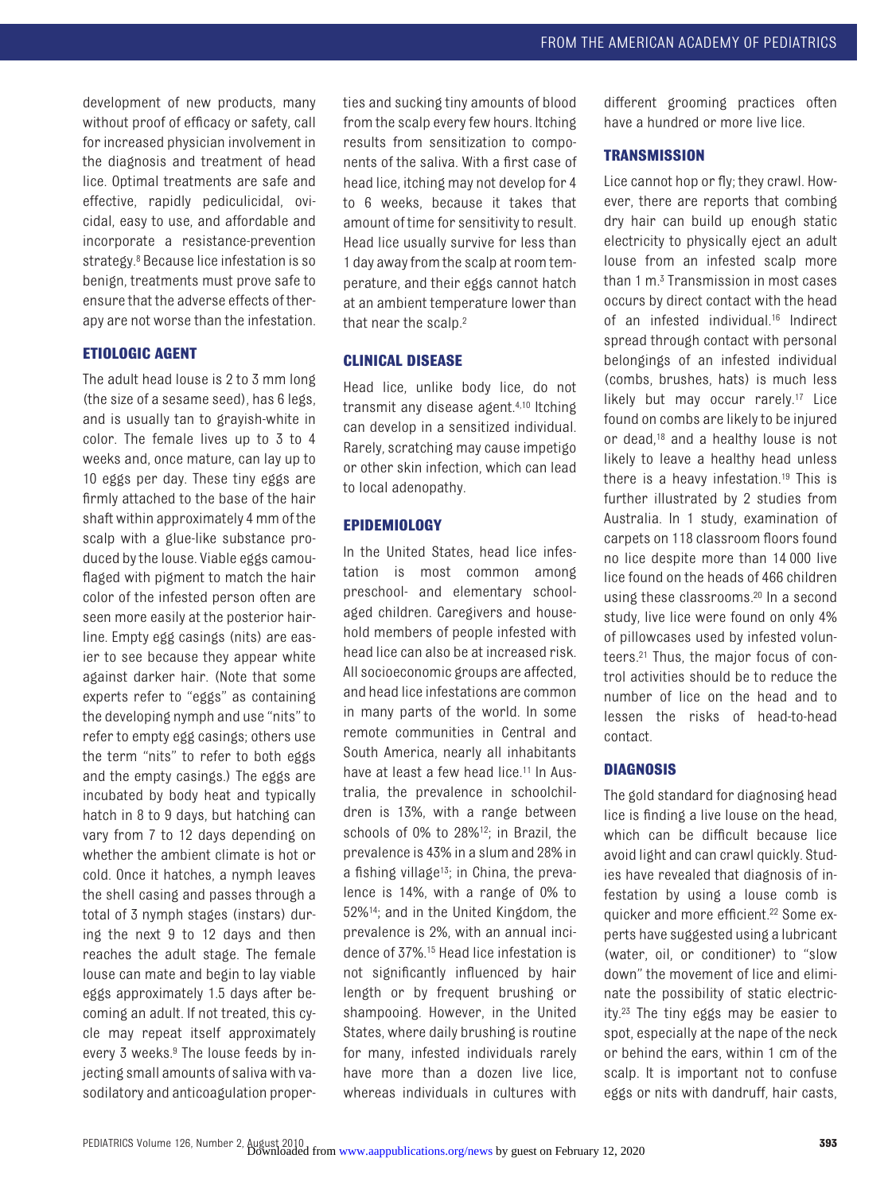development of new products, many without proof of efficacy or safety, call for increased physician involvement in the diagnosis and treatment of head lice. Optimal treatments are safe and effective, rapidly pediculicidal, ovicidal, easy to use, and affordable and incorporate a resistance-prevention strategy.<sup>8</sup> Because lice infestation is so benign, treatments must prove safe to ensure that the adverse effects of therapy are not worse than the infestation.

#### **ETIOLOGIC AGENT**

The adult head louse is 2 to 3 mm long (the size of a sesame seed), has 6 legs, and is usually tan to grayish-white in color. The female lives up to 3 to 4 weeks and, once mature, can lay up to 10 eggs per day. These tiny eggs are firmly attached to the base of the hair shaft within approximately 4 mm of the scalp with a glue-like substance produced by the louse. Viable eggs camouflaged with pigment to match the hair color of the infested person often are seen more easily at the posterior hairline. Empty egg casings (nits) are easier to see because they appear white against darker hair. (Note that some experts refer to "eggs" as containing the developing nymph and use "nits" to refer to empty egg casings; others use the term "nits" to refer to both eggs and the empty casings.) The eggs are incubated by body heat and typically hatch in 8 to 9 days, but hatching can vary from 7 to 12 days depending on whether the ambient climate is hot or cold. Once it hatches, a nymph leaves the shell casing and passes through a total of 3 nymph stages (instars) during the next 9 to 12 days and then reaches the adult stage. The female louse can mate and begin to lay viable eggs approximately 1.5 days after becoming an adult. If not treated, this cycle may repeat itself approximately every 3 weeks.<sup>9</sup> The louse feeds by injecting small amounts of saliva with vasodilatory and anticoagulation properties and sucking tiny amounts of blood from the scalp every few hours. Itching results from sensitization to components of the saliva. With a first case of head lice, itching may not develop for 4 to 6 weeks, because it takes that amount of time for sensitivity to result. Head lice usually survive for less than 1 day away from the scalp at room temperature, and their eggs cannot hatch at an ambient temperature lower than that near the scalp.2

#### **CLINICAL DISEASE**

Head lice, unlike body lice, do not transmit any disease agent.4,10 Itching can develop in a sensitized individual. Rarely, scratching may cause impetigo or other skin infection, which can lead to local adenopathy.

#### **EPIDEMIOLOGY**

In the United States, head lice infestation is most common among preschool- and elementary schoolaged children. Caregivers and household members of people infested with head lice can also be at increased risk. All socioeconomic groups are affected, and head lice infestations are common in many parts of the world. In some remote communities in Central and South America, nearly all inhabitants have at least a few head lice.<sup>11</sup> In Australia, the prevalence in schoolchildren is 13%, with a range between schools of 0% to 28%12; in Brazil, the prevalence is 43% in a slum and 28% in a fishing village13; in China, the prevalence is 14%, with a range of 0% to 52%14; and in the United Kingdom, the prevalence is 2%, with an annual incidence of 37%.15 Head lice infestation is not significantly influenced by hair length or by frequent brushing or shampooing. However, in the United States, where daily brushing is routine for many, infested individuals rarely have more than a dozen live lice, whereas individuals in cultures with different grooming practices often have a hundred or more live lice.

#### **TRANSMISSION**

Lice cannot hop or fly; they crawl. However, there are reports that combing dry hair can build up enough static electricity to physically eject an adult louse from an infested scalp more than 1 m.3 Transmission in most cases occurs by direct contact with the head of an infested individual.<sup>16</sup> Indirect spread through contact with personal belongings of an infested individual (combs, brushes, hats) is much less likely but may occur rarely.<sup>17</sup> Lice found on combs are likely to be injured or dead,<sup>18</sup> and a healthy louse is not likely to leave a healthy head unless there is a heavy infestation.19 This is further illustrated by 2 studies from Australia. In 1 study, examination of carpets on 118 classroom floors found no lice despite more than 14 000 live lice found on the heads of 466 children using these classrooms.20 In a second study, live lice were found on only 4% of pillowcases used by infested volunteers.21 Thus, the major focus of control activities should be to reduce the number of lice on the head and to lessen the risks of head-to-head contact.

#### **DIAGNOSIS**

The gold standard for diagnosing head lice is finding a live louse on the head, which can be difficult because lice avoid light and can crawl quickly. Studies have revealed that diagnosis of infestation by using a louse comb is quicker and more efficient.22 Some experts have suggested using a lubricant (water, oil, or conditioner) to "slow down" the movement of lice and eliminate the possibility of static electricity.23 The tiny eggs may be easier to spot, especially at the nape of the neck or behind the ears, within 1 cm of the scalp. It is important not to confuse eggs or nits with dandruff, hair casts,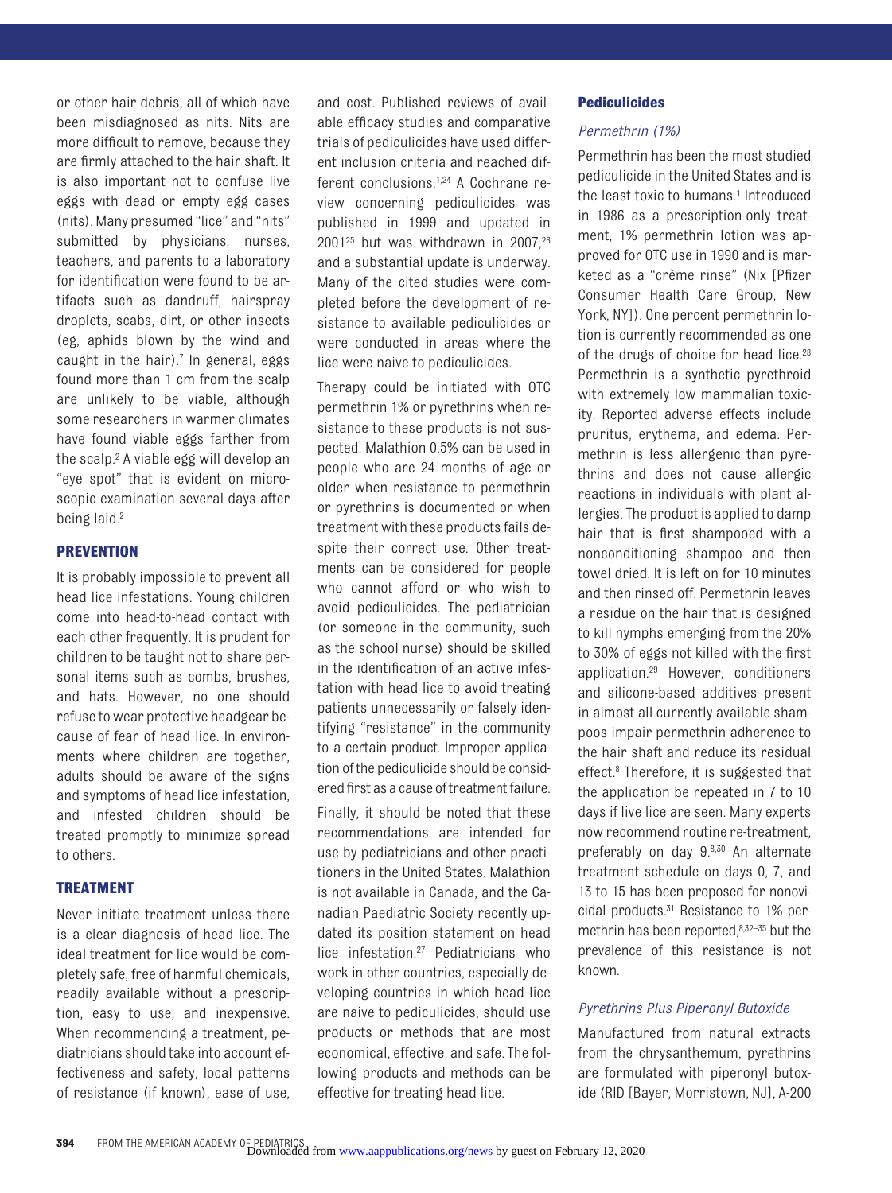or other hair debris, all of which have been misdiagnosed as nits. Nits are more difficult to remove, because they are firmly attached to the hair shaft. It is also important not to confuse live eggs with dead or empty egg cases (nits). Many presumed "lice" and "nits" submitted by physicians, nurses, teachers, and parents to a laboratory for identification were found to be artifacts such as dandruff, hairspray droplets, scabs, dirt, or other insects (eg, aphids blown by the wind and caught in the hair). $7$  In general, eggs found more than 1 cm from the scalp are unlikely to be viable, although some researchers in warmer climates have found viable eggs farther from the scalp.2 A viable egg will develop an "eye spot" that is evident on microscopic examination several days after being laid.2

#### **PREVENTION**

It is probably impossible to prevent all head lice infestations. Young children come into head-to-head contact with each other frequently. It is prudent for children to be taught not to share personal items such as combs, brushes, and hats. However, no one should refuse to wear protective headgear because of fear of head lice. In environments where children are together, adults should be aware of the signs and symptoms of head lice infestation, and infested children should be treated promptly to minimize spread to others.

#### **TREATMENT**

Never initiate treatment unless there is a clear diagnosis of head lice. The ideal treatment for lice would be completely safe, free of harmful chemicals, readily available without a prescription, easy to use, and inexpensive. When recommending a treatment, pediatricians should take into account effectiveness and safety, local patterns of resistance (if known), ease of use,

and cost. Published reviews of available efficacy studies and comparative trials of pediculicides have used different inclusion criteria and reached different conclusions.1,24 A Cochrane review concerning pediculicides was published in 1999 and updated in  $2001^{25}$  but was withdrawn in 2007.<sup>26</sup> and a substantial update is underway. Many of the cited studies were completed before the development of resistance to available pediculicides or were conducted in areas where the lice were naive to pediculicides.

Therapy could be initiated with OTC permethrin 1% or pyrethrins when resistance to these products is not suspected. Malathion 0.5% can be used in people who are 24 months of age or older when resistance to permethrin or pyrethrins is documented or when treatment with these products fails despite their correct use. Other treatments can be considered for people who cannot afford or who wish to avoid pediculicides. The pediatrician (or someone in the community, such as the school nurse) should be skilled in the identification of an active infestation with head lice to avoid treating patients unnecessarily or falsely identifying "resistance" in the community to a certain product. Improper application of the pediculicide should be considered first as a cause of treatment failure.

Finally, it should be noted that these recommendations are intended for use by pediatricians and other practitioners in the United States. Malathion is not available in Canada, and the Canadian Paediatric Society recently updated its position statement on head lice infestation.27 Pediatricians who work in other countries, especially developing countries in which head lice are naive to pediculicides, should use products or methods that are most economical, effective, and safe. The following products and methods can be effective for treating head lice.

#### **Pediculicides**

#### *Permethrin (1%)*

Permethrin has been the most studied pediculicide in the United States and is the least toxic to humans.<sup>1</sup> Introduced in 1986 as a prescription-only treatment, 1% permethrin lotion was approved for OTC use in 1990 and is marketed as a "crème rinse" (Nix [Pfizer Consumer Health Care Group, New York, NY]). One percent permethrin lotion is currently recommended as one of the drugs of choice for head lice.28 Permethrin is a synthetic pyrethroid with extremely low mammalian toxicity. Reported adverse effects include pruritus, erythema, and edema. Permethrin is less allergenic than pyrethrins and does not cause allergic reactions in individuals with plant allergies. The product is applied to damp hair that is first shampooed with a nonconditioning shampoo and then towel dried. It is left on for 10 minutes and then rinsed off. Permethrin leaves a residue on the hair that is designed to kill nymphs emerging from the 20% to 30% of eggs not killed with the first application.29 However, conditioners and silicone-based additives present in almost all currently available shampoos impair permethrin adherence to the hair shaft and reduce its residual effect.8 Therefore, it is suggested that the application be repeated in 7 to 10 days if live lice are seen. Many experts now recommend routine re-treatment, preferably on day 9.8,30 An alternate treatment schedule on days 0, 7, and 13 to 15 has been proposed for nonovicidal products.31 Resistance to 1% permethrin has been reported,8,32–35 but the prevalence of this resistance is not known.

#### *Pyrethrins Plus Piperonyl Butoxide*

Manufactured from natural extracts from the chrysanthemum, pyrethrins are formulated with piperonyl butoxide (RID [Bayer, Morristown, NJ], A-200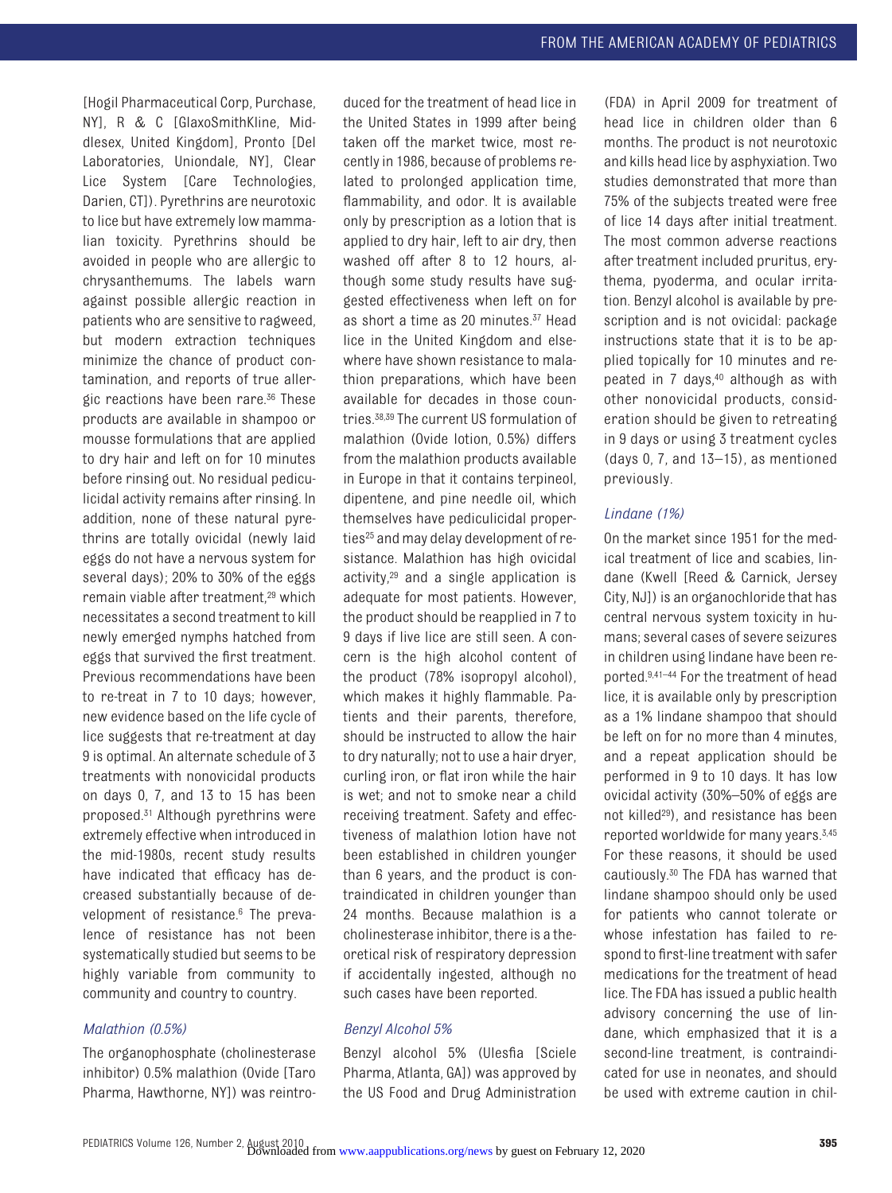[Hogil Pharmaceutical Corp, Purchase, NY], R & C [GlaxoSmithKline, Middlesex, United Kingdom], Pronto [Del Laboratories, Uniondale, NY], Clear Lice System [Care Technologies, Darien, CT]). Pyrethrins are neurotoxic to lice but have extremely low mammalian toxicity. Pyrethrins should be avoided in people who are allergic to chrysanthemums. The labels warn against possible allergic reaction in patients who are sensitive to ragweed, but modern extraction techniques minimize the chance of product contamination, and reports of true allergic reactions have been rare.<sup>36</sup> These products are available in shampoo or mousse formulations that are applied to dry hair and left on for 10 minutes before rinsing out. No residual pediculicidal activity remains after rinsing. In addition, none of these natural pyrethrins are totally ovicidal (newly laid eggs do not have a nervous system for several days); 20% to 30% of the eggs remain viable after treatment.<sup>29</sup> which necessitates a second treatment to kill newly emerged nymphs hatched from eggs that survived the first treatment. Previous recommendations have been to re-treat in 7 to 10 days; however, new evidence based on the life cycle of lice suggests that re-treatment at day 9 is optimal. An alternate schedule of 3 treatments with nonovicidal products on days 0, 7, and 13 to 15 has been proposed.31 Although pyrethrins were extremely effective when introduced in the mid-1980s, recent study results have indicated that efficacy has decreased substantially because of development of resistance.<sup>6</sup> The prevalence of resistance has not been systematically studied but seems to be highly variable from community to community and country to country.

#### *Malathion (0.5%)*

The organophosphate (cholinesterase inhibitor) 0.5% malathion (Ovide [Taro Pharma, Hawthorne, NY]) was reintro-

duced for the treatment of head lice in the United States in 1999 after being taken off the market twice, most recently in 1986, because of problems related to prolonged application time, flammability, and odor. It is available only by prescription as a lotion that is applied to dry hair, left to air dry, then washed off after 8 to 12 hours, although some study results have suggested effectiveness when left on for as short a time as 20 minutes.<sup>37</sup> Head lice in the United Kingdom and elsewhere have shown resistance to malathion preparations, which have been available for decades in those countries.38,39 The current US formulation of malathion (Ovide lotion, 0.5%) differs from the malathion products available in Europe in that it contains terpineol, dipentene, and pine needle oil, which themselves have pediculicidal properties25 and may delay development of resistance. Malathion has high ovicidal activity,29 and a single application is adequate for most patients. However, the product should be reapplied in 7 to 9 days if live lice are still seen. A concern is the high alcohol content of the product (78% isopropyl alcohol), which makes it highly flammable. Patients and their parents, therefore, should be instructed to allow the hair to dry naturally; not to use a hair dryer, curling iron, or flat iron while the hair is wet; and not to smoke near a child receiving treatment. Safety and effectiveness of malathion lotion have not been established in children younger than 6 years, and the product is contraindicated in children younger than 24 months. Because malathion is a cholinesterase inhibitor, there is a theoretical risk of respiratory depression if accidentally ingested, although no such cases have been reported.

#### *Benzyl Alcohol 5%*

Benzyl alcohol 5% (Ulesfia [Sciele Pharma, Atlanta, GA]) was approved by the US Food and Drug Administration

(FDA) in April 2009 for treatment of head lice in children older than 6 months. The product is not neurotoxic and kills head lice by asphyxiation. Two studies demonstrated that more than 75% of the subjects treated were free of lice 14 days after initial treatment. The most common adverse reactions after treatment included pruritus, erythema, pyoderma, and ocular irritation. Benzyl alcohol is available by prescription and is not ovicidal: package instructions state that it is to be applied topically for 10 minutes and repeated in 7 days,<sup>40</sup> although as with other nonovicidal products, consideration should be given to retreating in 9 days or using 3 treatment cycles (days 0, 7, and 13–15), as mentioned previously.

#### *Lindane (1%)*

On the market since 1951 for the medical treatment of lice and scabies, lindane (Kwell [Reed & Carnick, Jersey City, NJ]) is an organochloride that has central nervous system toxicity in humans; several cases of severe seizures in children using lindane have been reported.9,41–44 For the treatment of head lice, it is available only by prescription as a 1% lindane shampoo that should be left on for no more than 4 minutes. and a repeat application should be performed in 9 to 10 days. It has low ovicidal activity (30%–50% of eggs are not killed29), and resistance has been reported worldwide for many years.3,45 For these reasons, it should be used cautiously.30 The FDA has warned that lindane shampoo should only be used for patients who cannot tolerate or whose infestation has failed to respond to first-line treatment with safer medications for the treatment of head lice. The FDA has issued a public health advisory concerning the use of lindane, which emphasized that it is a second-line treatment, is contraindicated for use in neonates, and should be used with extreme caution in chil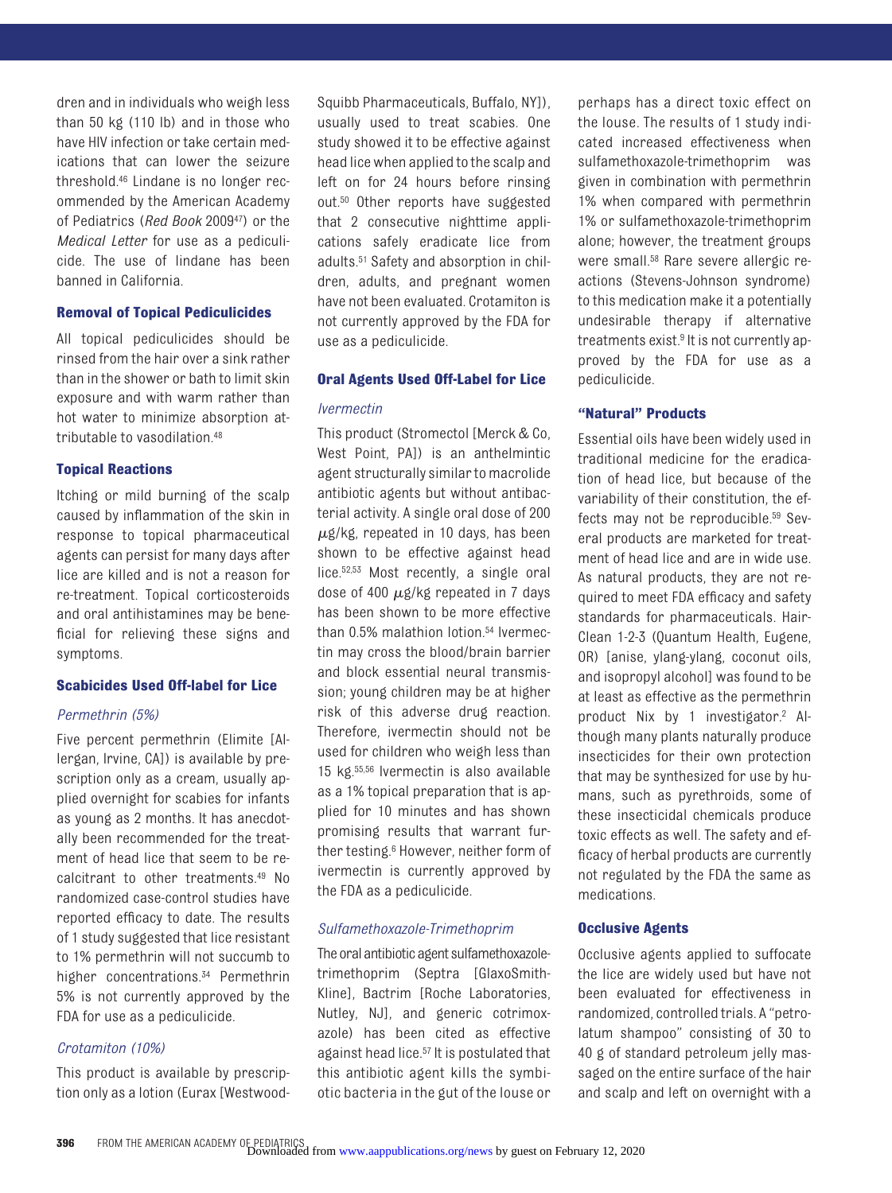dren and in individuals who weigh less than 50 kg (110 lb) and in those who have HIV infection or take certain medications that can lower the seizure threshold.46 Lindane is no longer recommended by the American Academy of Pediatrics (*Red Book* 200947) or the *Medical Letter* for use as a pediculicide. The use of lindane has been banned in California.

#### **Removal of Topical Pediculicides**

All topical pediculicides should be rinsed from the hair over a sink rather than in the shower or bath to limit skin exposure and with warm rather than hot water to minimize absorption attributable to vasodilation.48

#### **Topical Reactions**

Itching or mild burning of the scalp caused by inflammation of the skin in response to topical pharmaceutical agents can persist for many days after lice are killed and is not a reason for re-treatment. Topical corticosteroids and oral antihistamines may be beneficial for relieving these signs and symptoms.

#### **Scabicides Used Off-label for Lice**

#### *Permethrin (5%)*

Five percent permethrin (Elimite [Allergan, Irvine, CA]) is available by prescription only as a cream, usually applied overnight for scabies for infants as young as 2 months. It has anecdotally been recommended for the treatment of head lice that seem to be recalcitrant to other treatments.49 No randomized case-control studies have reported efficacy to date. The results of 1 study suggested that lice resistant to 1% permethrin will not succumb to higher concentrations.<sup>34</sup> Permethrin 5% is not currently approved by the FDA for use as a pediculicide.

#### *Crotamiton (10%)*

This product is available by prescription only as a lotion (Eurax [WestwoodSquibb Pharmaceuticals, Buffalo, NY]), usually used to treat scabies. One study showed it to be effective against head lice when applied to the scalp and left on for 24 hours before rinsing out.50 Other reports have suggested that 2 consecutive nighttime applications safely eradicate lice from adults.51 Safety and absorption in children, adults, and pregnant women have not been evaluated. Crotamiton is not currently approved by the FDA for use as a pediculicide.

#### **Oral Agents Used Off-Label for Lice**

#### *Ivermectin*

This product (Stromectol [Merck & Co, West Point, PA]) is an anthelmintic agent structurally similar to macrolide antibiotic agents but without antibacterial activity. A single oral dose of 200  $\mu$ g/kg, repeated in 10 days, has been shown to be effective against head lice.52,53 Most recently, a single oral dose of 400  $\mu$ g/kg repeated in 7 days has been shown to be more effective than 0.5% malathion lotion.54 Ivermectin may cross the blood/brain barrier and block essential neural transmission; young children may be at higher risk of this adverse drug reaction. Therefore, ivermectin should not be used for children who weigh less than 15 kg.55,56 Ivermectin is also available as a 1% topical preparation that is applied for 10 minutes and has shown promising results that warrant further testing.<sup>6</sup> However, neither form of ivermectin is currently approved by the FDA as a pediculicide.

#### *Sulfamethoxazole-Trimethoprim*

The oral antibiotic agent sulfamethoxazoletrimethoprim (Septra [GlaxoSmith-Kline], Bactrim [Roche Laboratories, Nutley, NJ], and generic cotrimoxazole) has been cited as effective against head lice.57 It is postulated that this antibiotic agent kills the symbiotic bacteria in the gut of the louse or perhaps has a direct toxic effect on the louse. The results of 1 study indicated increased effectiveness when sulfamethoxazole-trimethoprim was given in combination with permethrin 1% when compared with permethrin 1% or sulfamethoxazole-trimethoprim alone; however, the treatment groups were small.<sup>58</sup> Rare severe allergic reactions (Stevens-Johnson syndrome) to this medication make it a potentially undesirable therapy if alternative treatments exist.9 It is not currently approved by the FDA for use as a pediculicide.

#### **"Natural" Products**

Essential oils have been widely used in traditional medicine for the eradication of head lice, but because of the variability of their constitution, the effects may not be reproducible.59 Several products are marketed for treatment of head lice and are in wide use. As natural products, they are not required to meet FDA efficacy and safety standards for pharmaceuticals. Hair-Clean 1-2-3 (Quantum Health, Eugene, OR) [anise, ylang-ylang, coconut oils, and isopropyl alcohol] was found to be at least as effective as the permethrin product Nix by 1 investigator.2 Although many plants naturally produce insecticides for their own protection that may be synthesized for use by humans, such as pyrethroids, some of these insecticidal chemicals produce toxic effects as well. The safety and efficacy of herbal products are currently not regulated by the FDA the same as medications.

#### **Occlusive Agents**

Occlusive agents applied to suffocate the lice are widely used but have not been evaluated for effectiveness in randomized, controlled trials. A "petrolatum shampoo" consisting of 30 to 40 g of standard petroleum jelly massaged on the entire surface of the hair and scalp and left on overnight with a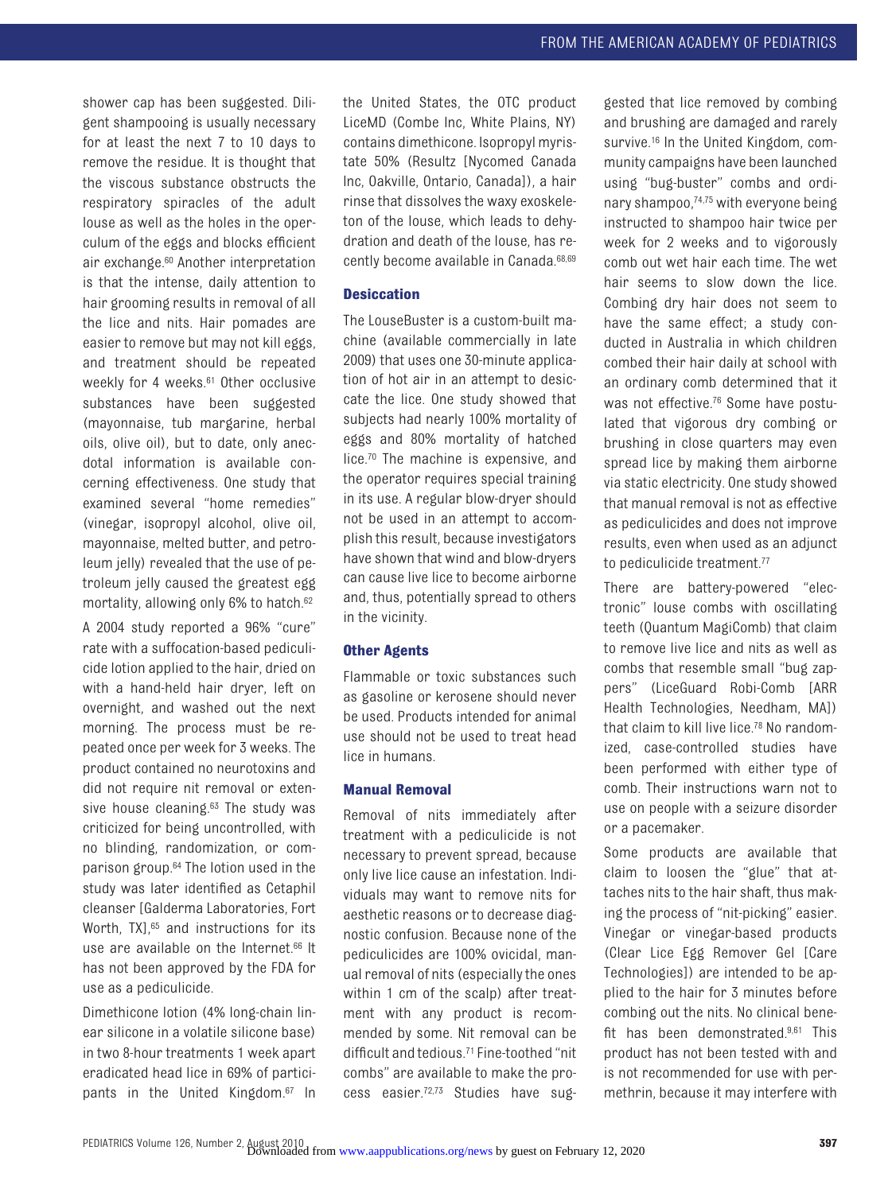shower cap has been suggested. Diligent shampooing is usually necessary for at least the next 7 to 10 days to remove the residue. It is thought that the viscous substance obstructs the respiratory spiracles of the adult louse as well as the holes in the operculum of the eggs and blocks efficient air exchange.<sup>60</sup> Another interpretation is that the intense, daily attention to hair grooming results in removal of all the lice and nits. Hair pomades are easier to remove but may not kill eggs, and treatment should be repeated weekly for 4 weeks.<sup>61</sup> Other occlusive substances have been suggested (mayonnaise, tub margarine, herbal oils, olive oil), but to date, only anecdotal information is available concerning effectiveness. One study that examined several "home remedies" (vinegar, isopropyl alcohol, olive oil, mayonnaise, melted butter, and petroleum jelly) revealed that the use of petroleum jelly caused the greatest egg mortality, allowing only 6% to hatch.<sup>62</sup>

A 2004 study reported a 96% "cure" rate with a suffocation-based pediculicide lotion applied to the hair, dried on with a hand-held hair dryer, left on overnight, and washed out the next morning. The process must be repeated once per week for 3 weeks. The product contained no neurotoxins and did not require nit removal or extensive house cleaning.<sup>63</sup> The study was criticized for being uncontrolled, with no blinding, randomization, or comparison group.64 The lotion used in the study was later identified as Cetaphil cleanser [Galderma Laboratories, Fort Worth, TX],<sup>65</sup> and instructions for its use are available on the Internet.<sup>66</sup> It has not been approved by the FDA for use as a pediculicide.

Dimethicone lotion (4% long-chain linear silicone in a volatile silicone base) in two 8-hour treatments 1 week apart eradicated head lice in 69% of participants in the United Kingdom.67 In

the United States, the OTC product LiceMD (Combe Inc, White Plains, NY) contains dimethicone. Isopropyl myristate 50% (Resultz [Nycomed Canada Inc, Oakville, Ontario, Canada]), a hair rinse that dissolves the waxy exoskeleton of the louse, which leads to dehydration and death of the louse, has recently become available in Canada.<sup>68,69</sup>

#### **Desiccation**

The LouseBuster is a custom-built machine (available commercially in late 2009) that uses one 30-minute application of hot air in an attempt to desiccate the lice. One study showed that subjects had nearly 100% mortality of eggs and 80% mortality of hatched lice.70 The machine is expensive, and the operator requires special training in its use. A regular blow-dryer should not be used in an attempt to accomplish this result, because investigators have shown that wind and blow-dryers can cause live lice to become airborne and, thus, potentially spread to others in the vicinity.

#### **Other Agents**

Flammable or toxic substances such as gasoline or kerosene should never be used. Products intended for animal use should not be used to treat head lice in humans.

#### **Manual Removal**

Removal of nits immediately after treatment with a pediculicide is not necessary to prevent spread, because only live lice cause an infestation. Individuals may want to remove nits for aesthetic reasons or to decrease diagnostic confusion. Because none of the pediculicides are 100% ovicidal, manual removal of nits (especially the ones within 1 cm of the scalp) after treatment with any product is recommended by some. Nit removal can be difficult and tedious.71 Fine-toothed "nit combs" are available to make the process easier.72,73 Studies have suggested that lice removed by combing and brushing are damaged and rarely survive.<sup>16</sup> In the United Kingdom, community campaigns have been launched using "bug-buster" combs and ordinary shampoo,74,75 with everyone being instructed to shampoo hair twice per week for 2 weeks and to vigorously comb out wet hair each time. The wet hair seems to slow down the lice. Combing dry hair does not seem to have the same effect; a study conducted in Australia in which children combed their hair daily at school with an ordinary comb determined that it was not effective.<sup>76</sup> Some have postulated that vigorous dry combing or brushing in close quarters may even spread lice by making them airborne via static electricity. One study showed that manual removal is not as effective as pediculicides and does not improve results, even when used as an adjunct to pediculicide treatment.<sup>77</sup>

There are battery-powered "electronic" louse combs with oscillating teeth (Quantum MagiComb) that claim to remove live lice and nits as well as combs that resemble small "bug zappers" (LiceGuard Robi-Comb [ARR Health Technologies, Needham, MA]) that claim to kill live lice.<sup>78</sup> No randomized, case-controlled studies have been performed with either type of comb. Their instructions warn not to use on people with a seizure disorder or a pacemaker.

Some products are available that claim to loosen the "glue" that attaches nits to the hair shaft, thus making the process of "nit-picking" easier. Vinegar or vinegar-based products (Clear Lice Egg Remover Gel [Care Technologies]) are intended to be applied to the hair for 3 minutes before combing out the nits. No clinical benefit has been demonstrated.9,61 This product has not been tested with and is not recommended for use with permethrin, because it may interfere with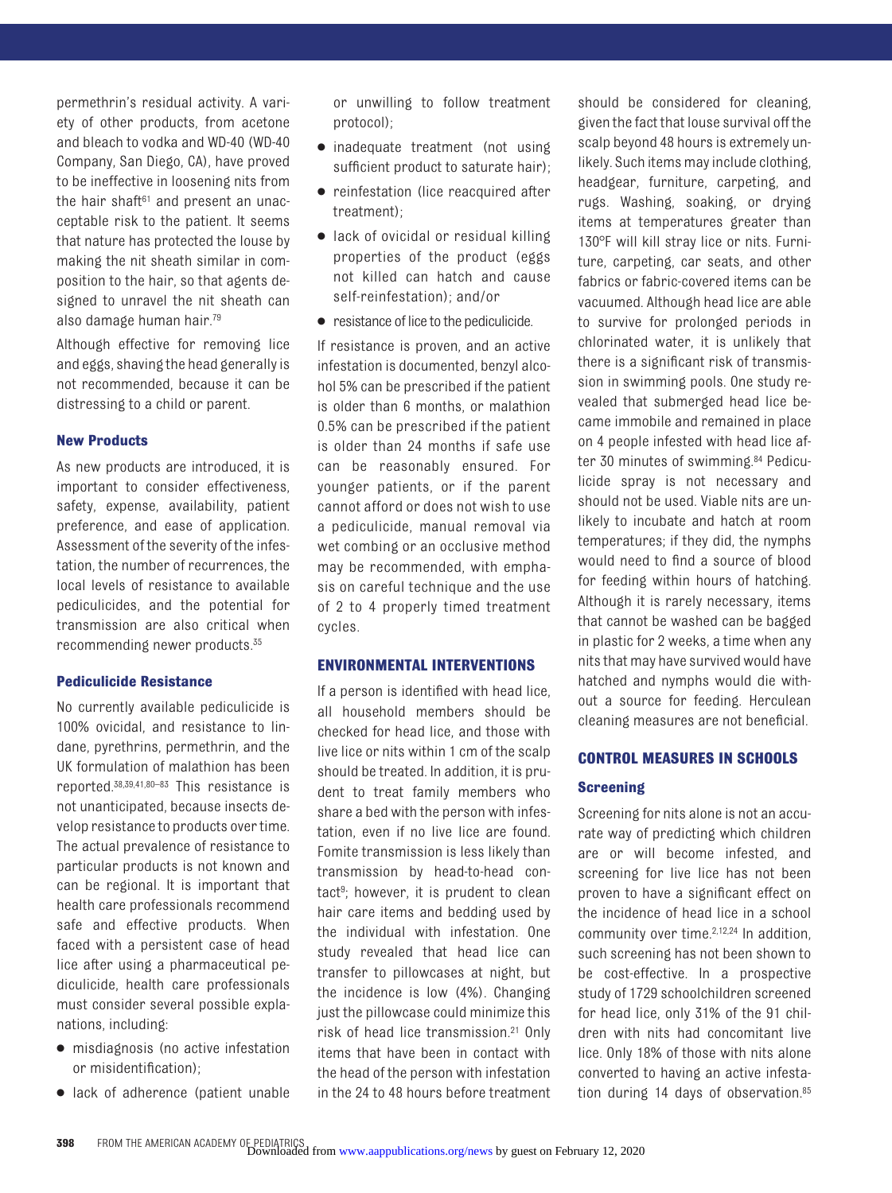permethrin's residual activity. A variety of other products, from acetone and bleach to vodka and WD-40 (WD-40 Company, San Diego, CA), have proved to be ineffective in loosening nits from the hair shaft $61$  and present an unacceptable risk to the patient. It seems that nature has protected the louse by making the nit sheath similar in composition to the hair, so that agents designed to unravel the nit sheath can also damage human hair.79

Although effective for removing lice and eggs, shaving the head generally is not recommended, because it can be distressing to a child or parent.

#### **New Products**

As new products are introduced, it is important to consider effectiveness, safety, expense, availability, patient preference, and ease of application. Assessment of the severity of the infestation, the number of recurrences, the local levels of resistance to available pediculicides, and the potential for transmission are also critical when recommending newer products.35

#### **Pediculicide Resistance**

No currently available pediculicide is 100% ovicidal, and resistance to lindane, pyrethrins, permethrin, and the UK formulation of malathion has been reported.38,39,41,80–83 This resistance is not unanticipated, because insects develop resistance to products over time. The actual prevalence of resistance to particular products is not known and can be regional. It is important that health care professionals recommend safe and effective products. When faced with a persistent case of head lice after using a pharmaceutical pediculicide, health care professionals must consider several possible explanations, including:

- misdiagnosis (no active infestation or misidentification);
- lack of adherence (patient unable

or unwilling to follow treatment protocol);

- inadequate treatment (not using sufficient product to saturate hair);
- reinfestation (lice reacquired after treatment);
- lack of ovicidal or residual killing properties of the product (eggs not killed can hatch and cause self-reinfestation); and/or
- resistance of lice to the pediculicide.

If resistance is proven, and an active infestation is documented, benzyl alcohol 5% can be prescribed if the patient is older than 6 months, or malathion 0.5% can be prescribed if the patient is older than 24 months if safe use can be reasonably ensured. For younger patients, or if the parent cannot afford or does not wish to use a pediculicide, manual removal via wet combing or an occlusive method may be recommended, with emphasis on careful technique and the use of 2 to 4 properly timed treatment cycles.

#### **ENVIRONMENTAL INTERVENTIONS**

If a person is identified with head lice, all household members should be checked for head lice, and those with live lice or nits within 1 cm of the scalp should be treated. In addition, it is prudent to treat family members who share a bed with the person with infestation, even if no live lice are found. Fomite transmission is less likely than transmission by head-to-head contact9; however, it is prudent to clean hair care items and bedding used by the individual with infestation. One study revealed that head lice can transfer to pillowcases at night, but the incidence is low (4%). Changing just the pillowcase could minimize this risk of head lice transmission.21 Only items that have been in contact with the head of the person with infestation in the 24 to 48 hours before treatment

should be considered for cleaning, given the fact that louse survival off the scalp beyond 48 hours is extremely unlikely. Such items may include clothing, headgear, furniture, carpeting, and rugs. Washing, soaking, or drying items at temperatures greater than 130°F will kill stray lice or nits. Furniture, carpeting, car seats, and other fabrics or fabric-covered items can be vacuumed. Although head lice are able to survive for prolonged periods in chlorinated water, it is unlikely that there is a significant risk of transmission in swimming pools. One study revealed that submerged head lice became immobile and remained in place on 4 people infested with head lice after 30 minutes of swimming.84 Pediculicide spray is not necessary and should not be used. Viable nits are unlikely to incubate and hatch at room temperatures; if they did, the nymphs would need to find a source of blood for feeding within hours of hatching. Although it is rarely necessary, items that cannot be washed can be bagged in plastic for 2 weeks, a time when any nits that may have survived would have hatched and nymphs would die without a source for feeding. Herculean cleaning measures are not beneficial.

#### **CONTROL MEASURES IN SCHOOLS**

#### **Screening**

Screening for nits alone is not an accurate way of predicting which children are or will become infested, and screening for live lice has not been proven to have a significant effect on the incidence of head lice in a school community over time.2,12,24 In addition, such screening has not been shown to be cost-effective. In a prospective study of 1729 schoolchildren screened for head lice, only 31% of the 91 children with nits had concomitant live lice. Only 18% of those with nits alone converted to having an active infestation during 14 days of observation.<sup>85</sup>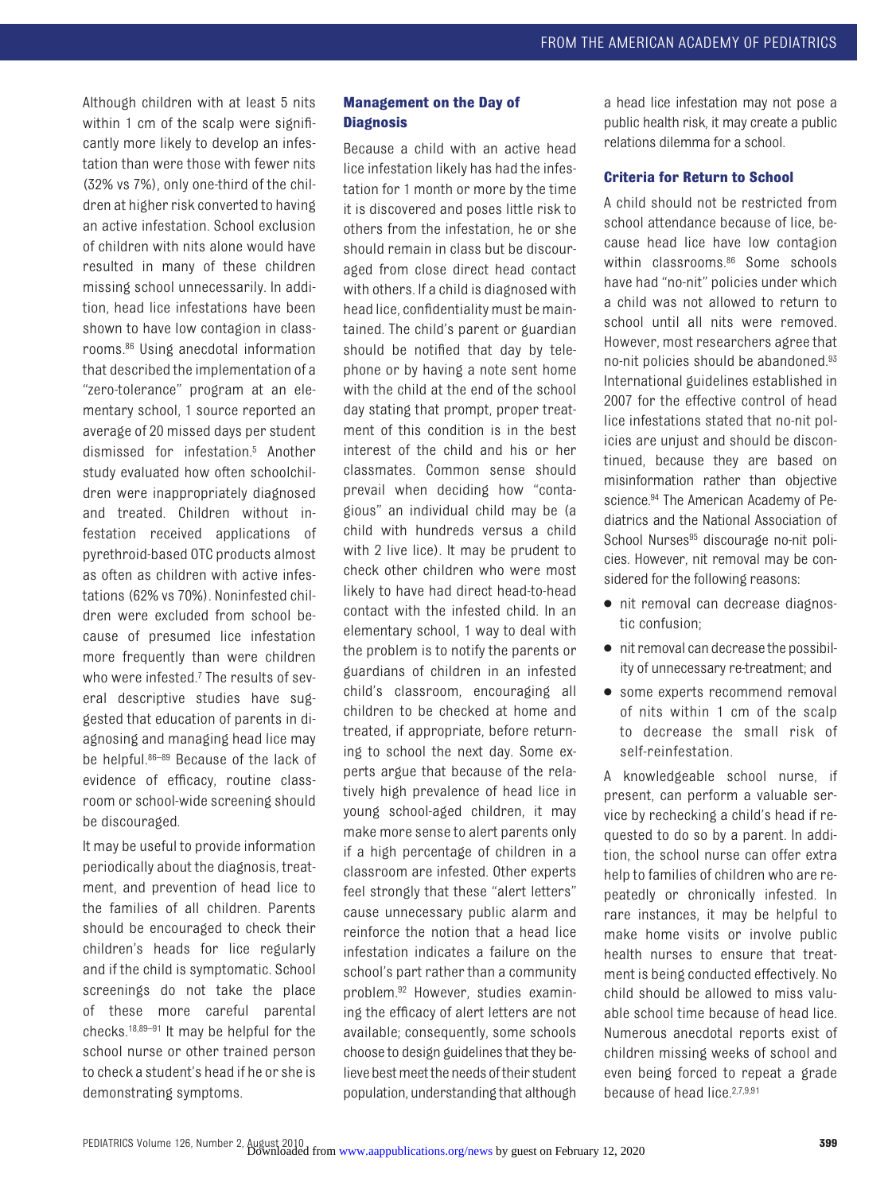Although children with at least 5 nits within 1 cm of the scalp were significantly more likely to develop an infestation than were those with fewer nits (32% vs 7%), only one-third of the children at higher risk converted to having an active infestation. School exclusion of children with nits alone would have resulted in many of these children missing school unnecessarily. In addition, head lice infestations have been shown to have low contagion in classrooms.86 Using anecdotal information that described the implementation of a "zero-tolerance" program at an elementary school, 1 source reported an average of 20 missed days per student dismissed for infestation.5 Another study evaluated how often schoolchildren were inappropriately diagnosed and treated. Children without infestation received applications of pyrethroid-based OTC products almost as often as children with active infestations (62% vs 70%). Noninfested children were excluded from school because of presumed lice infestation more frequently than were children who were infested.<sup>7</sup> The results of several descriptive studies have suggested that education of parents in diagnosing and managing head lice may be helpful.86–89 Because of the lack of evidence of efficacy, routine classroom or school-wide screening should be discouraged.

It may be useful to provide information periodically about the diagnosis, treatment, and prevention of head lice to the families of all children. Parents should be encouraged to check their children's heads for lice regularly and if the child is symptomatic. School screenings do not take the place of these more careful parental checks.18,89–91 It may be helpful for the school nurse or other trained person to check a student's head if he or she is demonstrating symptoms.

#### **Management on the Day of Diagnosis**

Because a child with an active head lice infestation likely has had the infestation for 1 month or more by the time it is discovered and poses little risk to others from the infestation, he or she should remain in class but be discouraged from close direct head contact with others. If a child is diagnosed with head lice, confidentiality must be maintained. The child's parent or guardian should be notified that day by telephone or by having a note sent home with the child at the end of the school day stating that prompt, proper treatment of this condition is in the best interest of the child and his or her classmates. Common sense should prevail when deciding how "contagious" an individual child may be (a child with hundreds versus a child with 2 live lice). It may be prudent to check other children who were most likely to have had direct head-to-head contact with the infested child. In an elementary school, 1 way to deal with the problem is to notify the parents or guardians of children in an infested child's classroom, encouraging all children to be checked at home and treated, if appropriate, before returning to school the next day. Some experts argue that because of the relatively high prevalence of head lice in young school-aged children, it may make more sense to alert parents only if a high percentage of children in a classroom are infested. Other experts feel strongly that these "alert letters" cause unnecessary public alarm and reinforce the notion that a head lice infestation indicates a failure on the school's part rather than a community problem.92 However, studies examining the efficacy of alert letters are not available; consequently, some schools choose to design guidelines that they believe best meet the needs of their student population, understanding that although

a head lice infestation may not pose a public health risk, it may create a public relations dilemma for a school.

#### **Criteria for Return to School**

A child should not be restricted from school attendance because of lice, because head lice have low contagion within classrooms.<sup>86</sup> Some schools have had "no-nit" policies under which a child was not allowed to return to school until all nits were removed. However, most researchers agree that no-nit policies should be abandoned.93 International guidelines established in 2007 for the effective control of head lice infestations stated that no-nit policies are unjust and should be discontinued, because they are based on misinformation rather than objective science.<sup>94</sup> The American Academy of Pediatrics and the National Association of School Nurses<sup>95</sup> discourage no-nit policies. However, nit removal may be considered for the following reasons:

- nit removal can decrease diagnostic confusion;
- nit removal can decreasethe possibility of unnecessary re-treatment; and
- some experts recommend removal of nits within 1 cm of the scalp to decrease the small risk of self-reinfestation.

A knowledgeable school nurse, if present, can perform a valuable service by rechecking a child's head if requested to do so by a parent. In addition, the school nurse can offer extra help to families of children who are repeatedly or chronically infested. In rare instances, it may be helpful to make home visits or involve public health nurses to ensure that treatment is being conducted effectively. No child should be allowed to miss valuable school time because of head lice. Numerous anecdotal reports exist of children missing weeks of school and even being forced to repeat a grade because of head lice.2,7,9,91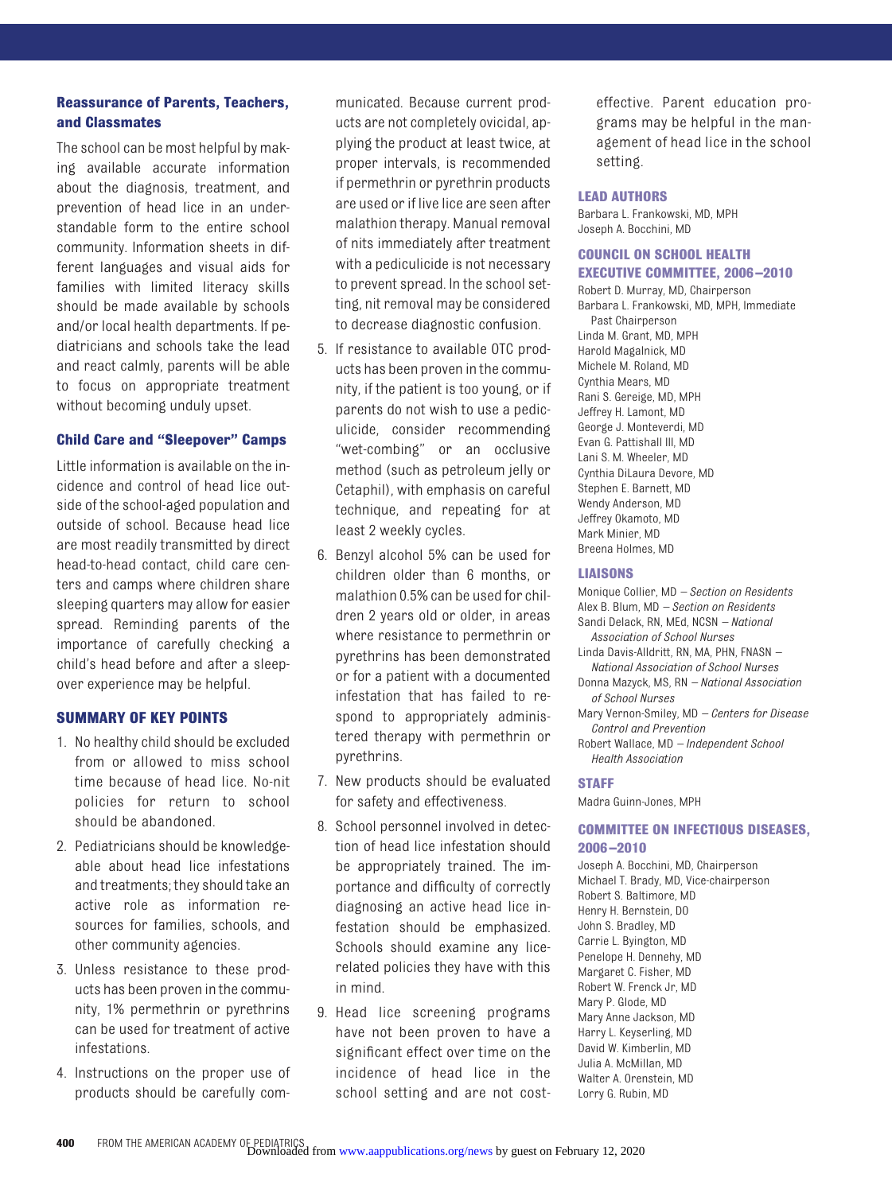#### **Reassurance of Parents, Teachers, and Classmates**

The school can be most helpful by making available accurate information about the diagnosis, treatment, and prevention of head lice in an understandable form to the entire school community. Information sheets in different languages and visual aids for families with limited literacy skills should be made available by schools and/or local health departments. If pediatricians and schools take the lead and react calmly, parents will be able to focus on appropriate treatment without becoming unduly upset.

#### **Child Care and "Sleepover" Camps**

Little information is available on the incidence and control of head lice outside of the school-aged population and outside of school. Because head lice are most readily transmitted by direct head-to-head contact, child care centers and camps where children share sleeping quarters may allow for easier spread. Reminding parents of the importance of carefully checking a child's head before and after a sleepover experience may be helpful.

#### **SUMMARY OF KEY POINTS**

- 1. No healthy child should be excluded from or allowed to miss school time because of head lice. No-nit policies for return to school should be abandoned.
- 2. Pediatricians should be knowledgeable about head lice infestations and treatments; they should take an active role as information resources for families, schools, and other community agencies.
- 3. Unless resistance to these products has been proven in the community, 1% permethrin or pyrethrins can be used for treatment of active infestations.
- 4. Instructions on the proper use of products should be carefully com-

municated. Because current products are not completely ovicidal, applying the product at least twice, at proper intervals, is recommended if permethrin or pyrethrin products are used or if live lice are seen after malathion therapy. Manual removal of nits immediately after treatment with a pediculicide is not necessary to prevent spread. In the school setting, nit removal may be considered to decrease diagnostic confusion.

- 5. If resistance to available OTC products has been proven in the community, if the patient is too young, or if parents do not wish to use a pediculicide, consider recommending "wet-combing" or an occlusive method (such as petroleum jelly or Cetaphil), with emphasis on careful technique, and repeating for at least 2 weekly cycles.
- 6. Benzyl alcohol 5% can be used for children older than 6 months, or malathion 0.5% can be used for children 2 years old or older, in areas where resistance to permethrin or pyrethrins has been demonstrated or for a patient with a documented infestation that has failed to respond to appropriately administered therapy with permethrin or pyrethrins.
- 7. New products should be evaluated for safety and effectiveness.
- 8. School personnel involved in detection of head lice infestation should be appropriately trained. The importance and difficulty of correctly diagnosing an active head lice infestation should be emphasized. Schools should examine any licerelated policies they have with this in mind.
- 9. Head lice screening programs have not been proven to have a significant effect over time on the incidence of head lice in the school setting and are not cost-

effective. Parent education programs may be helpful in the management of head lice in the school setting.

#### **LEAD AUTHORS**

Barbara L. Frankowski, MD, MPH Joseph A. Bocchini, MD

#### **COUNCIL ON SCHOOL HEALTH EXECUTIVE COMMITTEE, 2006 –2010**

Robert D. Murray, MD, Chairperson Barbara L. Frankowski, MD, MPH, Immediate Past Chairperson Linda M. Grant, MD, MPH Harold Magalnick, MD Michele M. Roland, MD Cynthia Mears, MD Rani S. Gereige, MD, MPH Jeffrey H. Lamont, MD George J. Monteverdi, MD Evan G. Pattishall III, MD Lani S. M. Wheeler, MD Cynthia DiLaura Devore, MD Stephen E. Barnett, MD Wendy Anderson, MD Jeffrey Okamoto, MD Mark Minier, MD Breena Holmes, MD

#### **LIAISONS**

Monique Collier, MD *– Section on Residents* Alex B. Blum, MD *– Section on Residents* Sandi Delack, RN, MEd, NCSN *– National Association of School Nurses* Linda Davis-Alldritt, RN, MA, PHN, FNASN *– National Association of School Nurses* Donna Mazyck, MS, RN *– National Association of School Nurses* Mary Vernon-Smiley, MD *– Centers for Disease*

*Control and Prevention*

Robert Wallace, MD *– Independent School Health Association*

#### **STAFF**

Madra Guinn-Jones, MPH

#### **COMMITTEE ON INFECTIOUS DISEASES, 2006 –2010**

Joseph A. Bocchini, MD, Chairperson Michael T. Brady, MD, Vice-chairperson Robert S. Baltimore, MD Henry H. Bernstein, DO John S. Bradley, MD Carrie L. Byington, MD Penelope H. Dennehy, MD Margaret C. Fisher, MD Robert W. Frenck Jr, MD Mary P. Glode, MD Mary Anne Jackson, MD Harry L. Keyserling, MD David W. Kimberlin, MD Julia A. McMillan, MD Walter A. Orenstein, MD Lorry G. Rubin, MD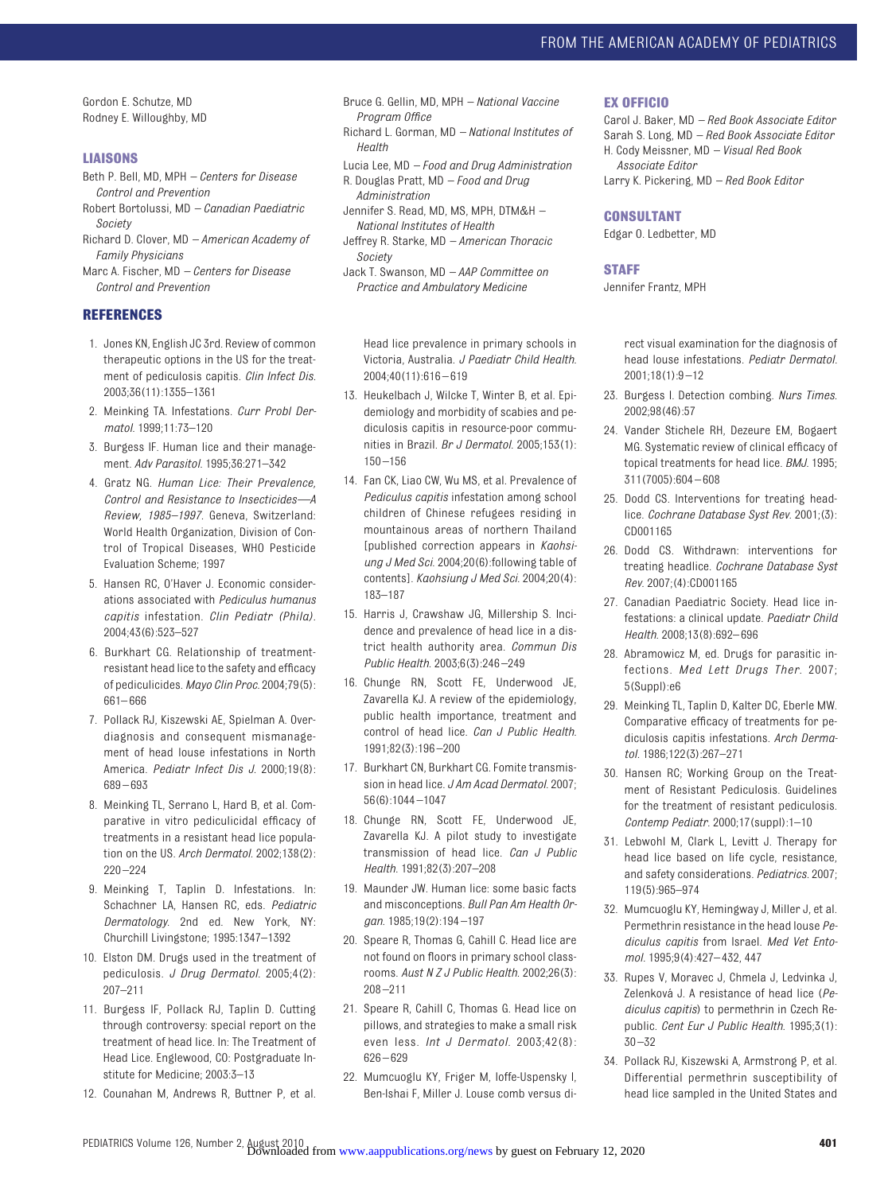Gordon E. Schutze, MD Rodney E. Willoughby, MD

#### **LIAISONS**

- Beth P. Bell, MD, MPH  *Centers for Disease Control and Prevention*
- Robert Bortolussi, MD  *Canadian Paediatric Society*
- Richard D. Clover, MD  *American Academy of Family Physicians*

Marc A. Fischer, MD *– Centers for Disease Control and Prevention*

#### **REFERENCES**

- 1. Jones KN, English JC 3rd. Review of common therapeutic options in the US for the treatment of pediculosis capitis. *Clin Infect Dis.* 2003;36(11):1355–1361
- 2. Meinking TA. Infestations. *Curr Probl Dermatol.* 1999;11:73–120
- 3. Burgess IF. Human lice and their management. *Adv Parasitol.* 1995;36:271–342
- 4. Gratz NG. *Human Lice: Their Prevalence, Control and Resistance to Insecticides—A Review, 1985–1997.* Geneva, Switzerland: World Health Organization, Division of Control of Tropical Diseases, WHO Pesticide Evaluation Scheme; 1997
- 5. Hansen RC, O'Haver J. Economic considerations associated with *Pediculus humanus capitis* infestation. *Clin Pediatr (Phila).* 2004;43(6):523–527
- 6. Burkhart CG. Relationship of treatmentresistant head lice to the safety and efficacy of pediculicides.*Mayo Clin Proc.* 2004;79(5): 661– 666
- 7. Pollack RJ, Kiszewski AE, Spielman A. Overdiagnosis and consequent mismanagement of head louse infestations in North America. *Pediatr Infect Dis J.* 2000;19(8): 689 – 693
- 8. Meinking TL, Serrano L, Hard B, et al. Comparative in vitro pediculicidal efficacy of treatments in a resistant head lice population on the US. *Arch Dermatol.* 2002;138(2): 220 –224
- 9. Meinking T, Taplin D. Infestations. In: Schachner LA, Hansen RC, eds. *Pediatric Dermatology*. 2nd ed. New York, NY: Churchill Livingstone; 1995:1347–1392
- 10. Elston DM. Drugs used in the treatment of pediculosis. *J Drug Dermatol.* 2005;4(2): 207–211
- 11. Burgess IF, Pollack RJ, Taplin D. Cutting through controversy: special report on the treatment of head lice. In: The Treatment of Head Lice. Englewood, CO: Postgraduate Institute for Medicine; 2003:3–13
- 12. Counahan M, Andrews R, Buttner P, et al.
- Bruce G. Gellin, MD, MPH  *National Vaccine Program Office*
- Richard L. Gorman, MD  *National Institutes of Health*
- Lucia Lee, MD  *Food and Drug Administration* R. Douglas Pratt, MD *– Food and Drug*
- *Administration* Jennifer S. Read, MD, MS, MPH, DTM&H *–*
- *National Institutes of Health*
- Jeffrey R. Starke, MD  *American Thoracic Society*
- Jack T. Swanson, MD  *AAP Committee on Practice and Ambulatory Medicine*

Head lice prevalence in primary schools in Victoria, Australia. *J Paediatr Child Health.* 2004;40(11):616 – 619

- 13. Heukelbach J, Wilcke T, Winter B, et al. Epidemiology and morbidity of scabies and pediculosis capitis in resource-poor communities in Brazil. *Br J Dermatol.* 2005;153(1): 150 –156
- 14. Fan CK, Liao CW, Wu MS, et al. Prevalence of *Pediculus capitis* infestation among school children of Chinese refugees residing in mountainous areas of northern Thailand [published correction appears in *Kaohsiung J Med Sci*. 2004;20(6):following table of contents]. *Kaohsiung J Med Sci.* 2004;20(4): 183–187
- 15. Harris J, Crawshaw JG, Millership S. Incidence and prevalence of head lice in a district health authority area. *Commun Dis Public Health.* 2003;6(3):246 –249
- 16. Chunge RN, Scott FE, Underwood JE, Zavarella KJ. A review of the epidemiology, public health importance, treatment and control of head lice. *Can J Public Health.* 1991;82(3):196 –200
- 17. Burkhart CN, Burkhart CG. Fomite transmission in head lice. *J Am Acad Dermatol.* 2007; 56(6):1044 –1047
- 18. Chunge RN, Scott FE, Underwood JE, Zavarella KJ. A pilot study to investigate transmission of head lice. *Can J Public Health.* 1991;82(3):207–208
- 19. Maunder JW. Human lice: some basic facts and misconceptions. *Bull Pan Am Health Organ.* 1985;19(2):194 –197
- 20. Speare R, Thomas G, Cahill C. Head lice are not found on floors in primary school classrooms. *Aust N Z J Public Health.* 2002;26(3): 208 –211
- 21. Speare R, Cahill C, Thomas G. Head lice on pillows, and strategies to make a small risk even less. *Int J Dermatol.* 2003;42(8): 626 – 629
- 22. Mumcuoglu KY, Friger M, Ioffe-Uspensky I, Ben-Ishai F, Miller J. Louse comb versus di-

#### **EX OFFICIO**

Carol J. Baker, MD *– Red Book Associate Editor* Sarah S. Long, MD *– Red Book Associate Editor* H. Cody Meissner, MD *– Visual Red Book Associate Editor* Larry K. Pickering, MD *– Red Book Editor*

#### **CONSULTANT**

Edgar O. Ledbetter, MD

#### **STAFF**

Jennifer Frantz, MPH

rect visual examination for the diagnosis of head louse infestations. *Pediatr Dermatol.* 2001;18(1):9 –12

- 23. Burgess I. Detection combing. *Nurs Times.* 2002;98(46):57
- 24. Vander Stichele RH, Dezeure EM, Bogaert MG. Systematic review of clinical efficacy of topical treatments for head lice. *BMJ.* 1995; 311(7005):604 – 608
- 25. Dodd CS. Interventions for treating headlice. *Cochrane Database Syst Rev.* 2001;(3): CD001165
- 26. Dodd CS. Withdrawn: interventions for treating headlice. *Cochrane Database Syst Rev.* 2007;(4):CD001165
- 27. Canadian Paediatric Society. Head lice infestations: a clinical update. *Paediatr Child Health.* 2008;13(8):692– 696
- 28. Abramowicz M, ed. Drugs for parasitic infections. *Med Lett Drugs Ther.* 2007; 5(Suppl):e6
- 29. Meinking TL, Taplin D, Kalter DC, Eberle MW. Comparative efficacy of treatments for pediculosis capitis infestations. *Arch Dermatol.* 1986;122(3):267–271
- 30. Hansen RC; Working Group on the Treatment of Resistant Pediculosis. Guidelines for the treatment of resistant pediculosis. *Contemp Pediatr.* 2000;17(suppl):1–10
- 31. Lebwohl M, Clark L, Levitt J. Therapy for head lice based on life cycle, resistance, and safety considerations. *Pediatrics.* 2007; 119(5):965–974
- 32. Mumcuoglu KY, Hemingway J, Miller J, et al. Permethrin resistance in the head louse *Pediculus capitis* from Israel. *Med Vet Entomol.* 1995;9(4):427– 432, 447
- 33. Rupes V, Moravec J, Chmela J, Ledvinka J, Zelenková J. A resistance of head lice (Pe*diculus capitis*) to permethrin in Czech Republic. *Cent Eur J Public Health.* 1995;3(1): 30 –32
- 34. Pollack RJ, Kiszewski A, Armstrong P, et al. Differential permethrin susceptibility of head lice sampled in the United States and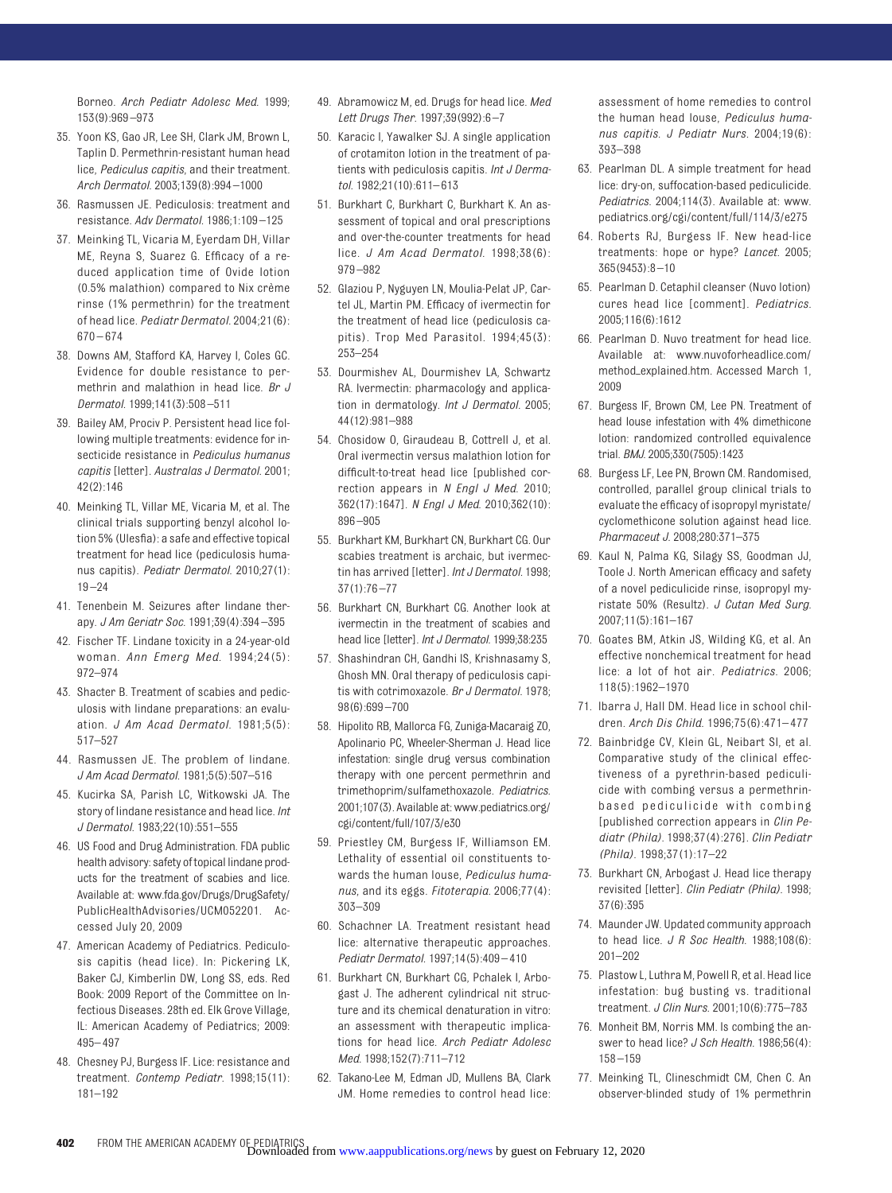Borneo. *Arch Pediatr Adolesc Med.* 1999; 153(9):969 –973

- 35. Yoon KS, Gao JR, Lee SH, Clark JM, Brown L, Taplin D. Permethrin-resistant human head lice, *Pediculus capitis*, and their treatment. *Arch Dermatol.* 2003;139(8):994 –1000
- 36. Rasmussen JE. Pediculosis: treatment and resistance. *Adv Dermatol.* 1986;1:109 –125
- 37. Meinking TL, Vicaria M, Eyerdam DH, Villar ME, Reyna S, Suarez G. Efficacy of a reduced application time of Ovide lotion (0.5% malathion) compared to Nix crème rinse (1% permethrin) for the treatment of head lice. *Pediatr Dermatol.* 2004;21(6): 670 – 674
- 38. Downs AM, Stafford KA, Harvey I, Coles GC. Evidence for double resistance to permethrin and malathion in head lice. *Br J Dermatol.* 1999;141(3):508 –511
- 39. Bailey AM, Prociv P. Persistent head lice following multiple treatments: evidence for insecticide resistance in *Pediculus humanus capitis* [letter]. *Australas J Dermatol.* 2001; 42(2):146
- 40. Meinking TL, Villar ME, Vicaria M, et al. The clinical trials supporting benzyl alcohol lotion 5% (Ulesfia): a safe and effective topical treatment for head lice (pediculosis humanus capitis). *Pediatr Dermatol.* 2010;27(1):  $19 - 24$
- 41. Tenenbein M. Seizures after lindane therapy. *J Am Geriatr Soc.* 1991;39(4):394 –395
- 42. Fischer TF. Lindane toxicity in a 24-year-old woman. *Ann Emerg Med.* 1994;24(5): 972–974
- 43. Shacter B. Treatment of scabies and pediculosis with lindane preparations: an evaluation. *J Am Acad Dermatol.* 1981;5(5): 517–527
- 44. Rasmussen JE. The problem of lindane. *J Am Acad Dermatol.* 1981;5(5):507–516
- 45. Kucirka SA, Parish LC, Witkowski JA. The story of lindane resistance and head lice. *Int J Dermatol.* 1983;22(10):551–555
- 46. US Food and Drug Administration. FDA public health advisory: safety of topical lindane products for the treatment of scabies and lice. Available at: www.fda.gov/Drugs/DrugSafety/ PublicHealthAdvisories/UCM052201. Accessed July 20, 2009
- 47. American Academy of Pediatrics. Pediculosis capitis (head lice). In: Pickering LK, Baker CJ, Kimberlin DW, Long SS, eds. Red Book: 2009 Report of the Committee on Infectious Diseases. 28th ed. Elk Grove Village, IL: American Academy of Pediatrics; 2009: 495– 497
- 48. Chesney PJ, Burgess IF. Lice: resistance and treatment. *Contemp Pediatr.* 1998;15(11): 181–192
- 49. Abramowicz M, ed. Drugs for head lice. *Med Lett Drugs Ther.* 1997;39(992):6 –7
- 50. Karacic I, Yawalker SJ. A single application of crotamiton lotion in the treatment of patients with pediculosis capitis. *Int J Dermatol.* 1982;21(10):611– 613
- 51. Burkhart C, Burkhart C, Burkhart K. An assessment of topical and oral prescriptions and over-the-counter treatments for head lice. *J Am Acad Dermatol.* 1998;38(6): 979 –982
- 52. Glaziou P, Nyguyen LN, Moulia-Pelat JP, Cartel JL, Martin PM. Efficacy of ivermectin for the treatment of head lice (pediculosis capitis). Trop Med Parasitol. 1994;45(3): 253–254
- 53. Dourmishev AL, Dourmishev LA, Schwartz RA. Ivermectin: pharmacology and application in dermatology. *Int J Dermatol.* 2005; 44(12):981–988
- 54. Chosidow O, Giraudeau B, Cottrell J, et al. Oral ivermectin versus malathion lotion for difficult-to-treat head lice [published correction appears in *N Engl J Med*. 2010; 362(17):1647]. *N Engl J Med.* 2010;362(10): 896 –905
- 55. Burkhart KM, Burkhart CN, Burkhart CG. Our scabies treatment is archaic, but ivermectin has arrived [letter]. *Int J Dermatol.* 1998; 37(1):76 –77
- 56. Burkhart CN, Burkhart CG. Another look at ivermectin in the treatment of scabies and head lice [letter]. *Int J Dermatol.* 1999;38:235
- 57. Shashindran CH, Gandhi IS, Krishnasamy S, Ghosh MN. Oral therapy of pediculosis capitis with cotrimoxazole. *Br J Dermatol.* 1978; 98(6):699 –700
- 58. Hipolito RB, Mallorca FG, Zuniga-Macaraig ZO, Apolinario PC, Wheeler-Sherman J. Head lice infestation: single drug versus combination therapy with one percent permethrin and trimethoprim/sulfamethoxazole. *Pediatrics.* 2001;107(3). Available at: www.pediatrics.org/ cgi/content/full/107/3/e30
- 59. Priestley CM, Burgess IF, Williamson EM. Lethality of essential oil constituents towards the human louse, *Pediculus humanus*, and its eggs. *Fitoterapia.* 2006;77(4): 303–309
- 60. Schachner LA. Treatment resistant head lice: alternative therapeutic approaches. *Pediatr Dermatol.* 1997;14(5):409 – 410
- 61. Burkhart CN, Burkhart CG, Pchalek I, Arbogast J. The adherent cylindrical nit structure and its chemical denaturation in vitro: an assessment with therapeutic implications for head lice. *Arch Pediatr Adolesc Med.* 1998;152(7):711–712
- 62. Takano-Lee M, Edman JD, Mullens BA, Clark JM. Home remedies to control head lice:

assessment of home remedies to control the human head louse, *Pediculus humanus capitis*. *J Pediatr Nurs.* 2004;19(6): 393–398

- 63. Pearlman DL. A simple treatment for head lice: dry-on, suffocation-based pediculicide. *Pediatrics.* 2004;114(3). Available at: www. pediatrics.org/cgi/content/full/114/3/e275
- 64. Roberts RJ, Burgess IF. New head-lice treatments: hope or hype? *Lancet.* 2005; 365(9453):8 –10
- 65. Pearlman D. Cetaphil cleanser (Nuvo lotion) cures head lice [comment]. *Pediatrics.* 2005;116(6):1612
- 66. Pearlman D. Nuvo treatment for head lice. Available at: www.nuvoforheadlice.com/ method-explained.htm. Accessed March 1, 2009
- 67. Burgess IF, Brown CM, Lee PN. Treatment of head louse infestation with 4% dimethicone lotion: randomized controlled equivalence trial. *BMJ.* 2005;330(7505):1423
- 68. Burgess LF, Lee PN, Brown CM. Randomised, controlled, parallel group clinical trials to evaluate the efficacy of isopropyl myristate/ cyclomethicone solution against head lice. *Pharmaceut J.* 2008;280:371–375
- 69. Kaul N, Palma KG, Silagy SS, Goodman JJ, Toole J. North American efficacy and safety of a novel pediculicide rinse, isopropyl myristate 50% (Resultz). *J Cutan Med Surg.* 2007;11(5):161–167
- 70. Goates BM, Atkin JS, Wilding KG, et al. An effective nonchemical treatment for head lice: a lot of hot air. *Pediatrics.* 2006; 118(5):1962–1970
- 71. Ibarra J, Hall DM. Head lice in school children. *Arch Dis Child.* 1996;75(6):471– 477
- 72. Bainbridge CV, Klein GL, Neibart SI, et al. Comparative study of the clinical effectiveness of a pyrethrin-based pediculicide with combing versus a permethrinbased pediculicide with combing [published correction appears in *Clin Pediatr (Phila)*. 1998;37(4):276]. *Clin Pediatr (Phila).* 1998;37(1):17–22
- 73. Burkhart CN, Arbogast J. Head lice therapy revisited [letter]. *Clin Pediatr (Phila).* 1998; 37(6):395
- 74. Maunder JW. Updated community approach to head lice. *J R Soc Health.* 1988;108(6): 201–202
- 75. Plastow L, Luthra M, Powell R, et al. Head lice infestation: bug busting vs. traditional treatment. *J Clin Nurs.* 2001;10(6):775–783
- 76. Monheit BM, Norris MM. Is combing the answer to head lice? *J Sch Health.* 1986;56(4): 158 –159
- 77. Meinking TL, Clineschmidt CM, Chen C. An observer-blinded study of 1% permethrin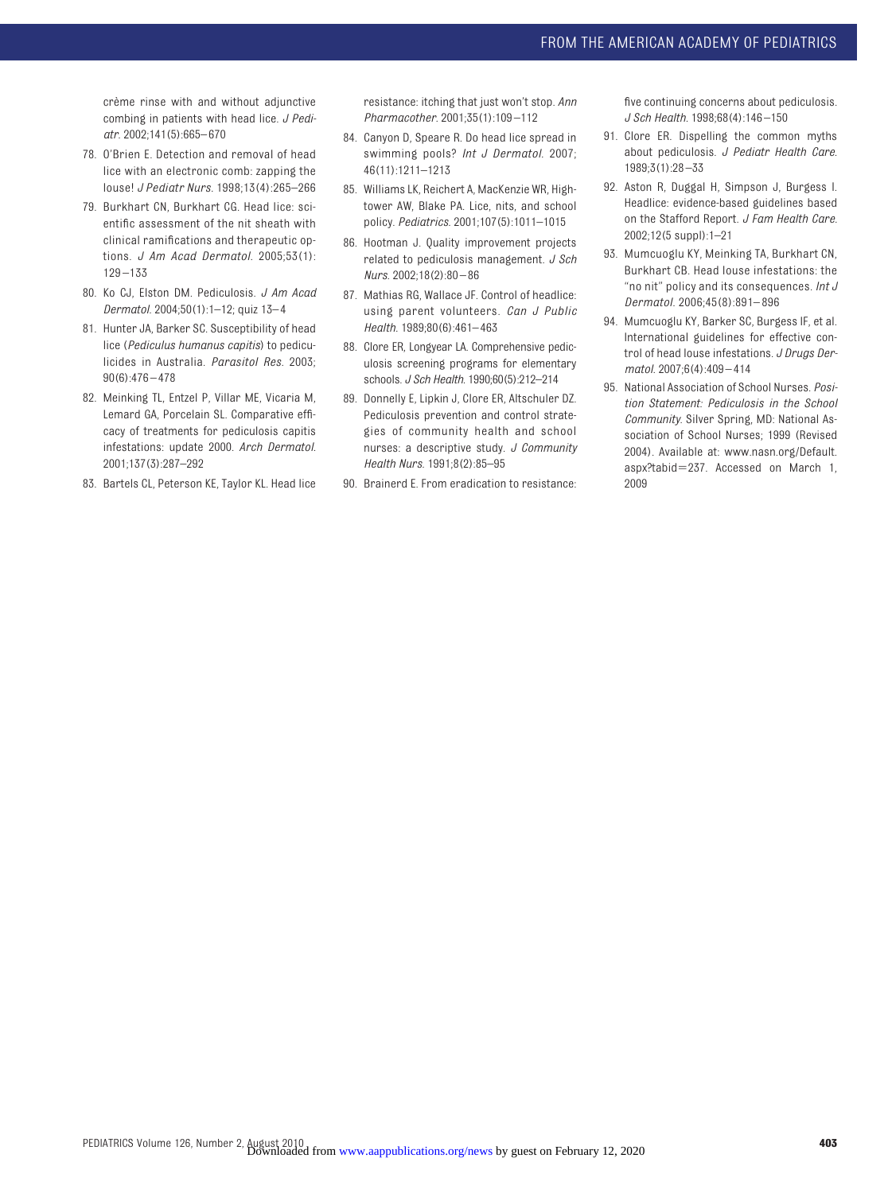crème rinse with and without adjunctive combing in patients with head lice. *J Pediatr.* 2002;141(5):665– 670

- 78. O'Brien E. Detection and removal of head lice with an electronic comb: zapping the louse! *J Pediatr Nurs.* 1998;13(4):265–266
- 79. Burkhart CN, Burkhart CG. Head lice: scientific assessment of the nit sheath with clinical ramifications and therapeutic options. *J Am Acad Dermatol.* 2005;53(1): 129 –133
- 80. Ko CJ, Elston DM. Pediculosis. *J Am Acad Dermatol.* 2004;50(1):1–12; quiz 13– 4
- 81. Hunter JA, Barker SC. Susceptibility of head lice (*Pediculus humanus capitis*) to pediculicides in Australia. *Parasitol Res.* 2003; 90(6):476 – 478
- 82. Meinking TL, Entzel P, Villar ME, Vicaria M, Lemard GA, Porcelain SL. Comparative efficacy of treatments for pediculosis capitis infestations: update 2000. *Arch Dermatol.* 2001;137(3):287–292
- 83. Bartels CL, Peterson KE, Taylor KL. Head lice

resistance: itching that just won't stop. *Ann Pharmacother.* 2001;35(1):109 –112

- 84. Canyon D, Speare R. Do head lice spread in swimming pools? *Int J Dermatol.* 2007; 46(11):1211–1213
- 85. Williams LK, Reichert A, MacKenzie WR, Hightower AW, Blake PA. Lice, nits, and school policy. *Pediatrics.* 2001;107(5):1011–1015
- 86. Hootman J. Quality improvement projects related to pediculosis management. *J Sch Nurs.* 2002;18(2):80 – 86
- 87. Mathias RG, Wallace JF. Control of headlice: using parent volunteers. *Can J Public Health.* 1989;80(6):461– 463
- 88. Clore ER, Longyear LA. Comprehensive pediculosis screening programs for elementary schools. *J Sch Health.* 1990;60(5):212–214
- 89. Donnelly E, Lipkin J, Clore ER, Altschuler DZ. Pediculosis prevention and control strategies of community health and school nurses: a descriptive study. *J Community Health Nurs.* 1991;8(2):85–95
- 90. Brainerd E. From eradication to resistance:

five continuing concerns about pediculosis. *J Sch Health.* 1998;68(4):146 –150

- 91. Clore ER. Dispelling the common myths about pediculosis. *J Pediatr Health Care.* 1989;3(1):28 –33
- 92. Aston R, Duggal H, Simpson J, Burgess I. Headlice: evidence-based guidelines based on the Stafford Report. *J Fam Health Care.* 2002;12(5 suppl):1–21
- 93. Mumcuoglu KY, Meinking TA, Burkhart CN, Burkhart CB. Head louse infestations: the "no nit" policy and its consequences. *Int J Dermatol.* 2006;45(8):891– 896
- 94. Mumcuoglu KY, Barker SC, Burgess IF, et al. International guidelines for effective control of head louse infestations. *J Drugs Dermatol.* 2007;6(4):409 – 414
- 95. National Association of School Nurses. *Position Statement: Pediculosis in the School Community*. Silver Spring, MD: National Association of School Nurses; 1999 (Revised 2004). Available at: www.nasn.org/Default. aspx?tabid= $237$ . Accessed on March 1, 2009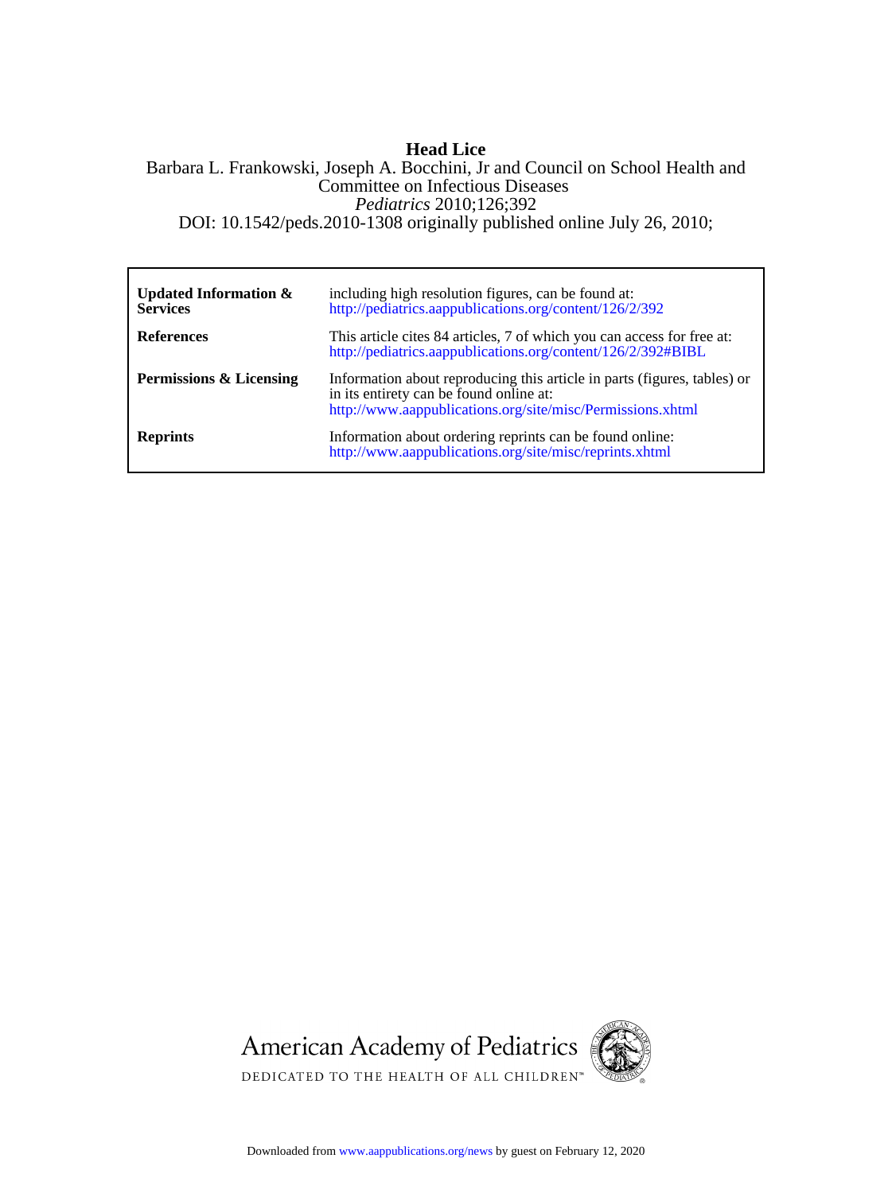#### DOI: 10.1542/peds.2010-1308 originally published online July 26, 2010; *Pediatrics* 2010;126;392 Committee on Infectious Diseases Barbara L. Frankowski, Joseph A. Bocchini, Jr and Council on School Health and **Head Lice**

| <b>Updated Information &amp;</b><br><b>Services</b> | including high resolution figures, can be found at:<br>http://pediatrics.aappublications.org/content/126/2/392                                                                    |
|-----------------------------------------------------|-----------------------------------------------------------------------------------------------------------------------------------------------------------------------------------|
| <b>References</b>                                   | This article cites 84 articles, 7 of which you can access for free at:<br>http://pediatrics.aappublications.org/content/126/2/392#BIBL                                            |
| <b>Permissions &amp; Licensing</b>                  | Information about reproducing this article in parts (figures, tables) or<br>in its entirety can be found online at:<br>http://www.aappublications.org/site/misc/Permissions.xhtml |
| <b>Reprints</b>                                     | Information about ordering reprints can be found online:<br>http://www.aappublications.org/site/misc/reprints.xhtml                                                               |